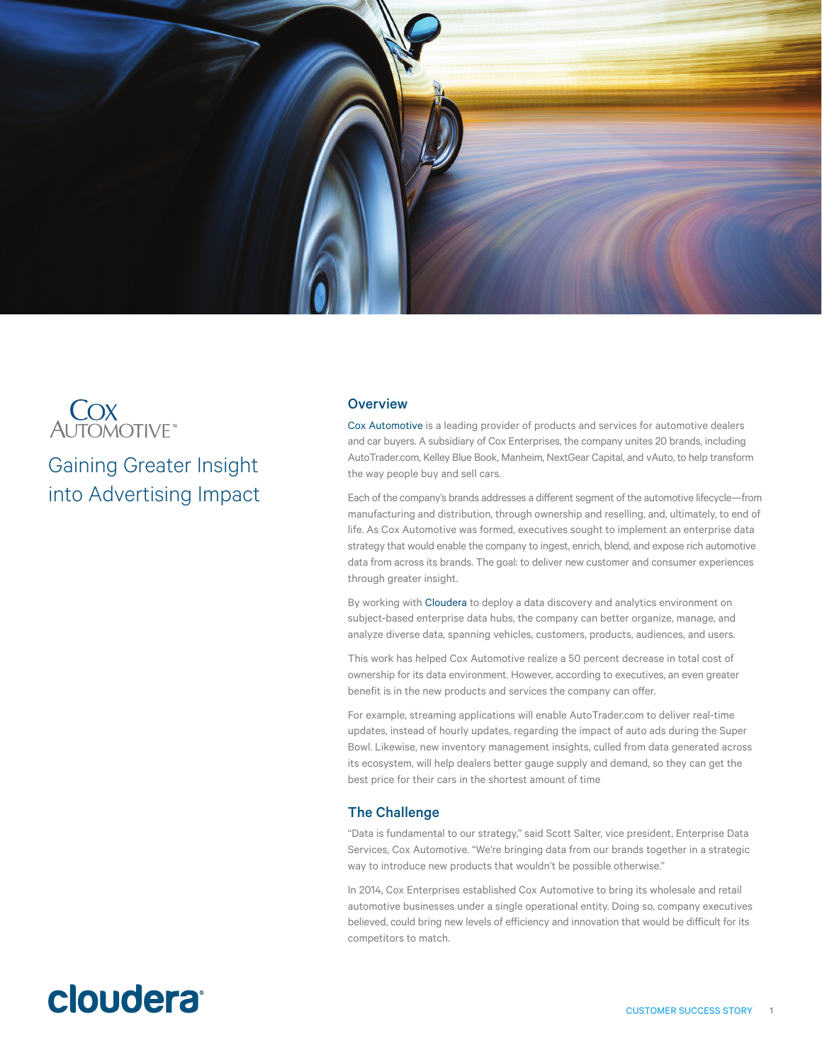

# **COX**<br>AUTOMOTIVE<sup>®</sup>

Gaining Greater Insight into Advertising Impact

## **Overview**

[Cox Automotive](https://www.coxautoinc.com/) is a leading provider of products and services for automotive dealers and car buyers. A subsidiary of Cox Enterprises, the company unites 20 brands, including AutoTrader.com, Kelley Blue Book, Manheim, NextGear Capital, and vAuto, to help transform the way people buy and sell cars.

Each of the company's brands addresses a different segment of the automotive lifecycle—from manufacturing and distribution, through ownership and reselling, and, ultimately, to end of life. As Cox Automotive was formed, executives sought to implement an enterprise data strategy that would enable the company to ingest, enrich, blend, and expose rich automotive data from across its brands. The goal: to deliver new customer and consumer experiences through greater insight.

By working with [Cloudera](http://www.cloudera.com/content/www/en-us.html) to deploy a data discovery and analytics environment on subject-based enterprise data hubs, the company can better organize, manage, and analyze diverse data, spanning vehicles, customers, products, audiences, and users.

This work has helped Cox Automotive realize a 50 percent decrease in total cost of ownership for its data environment. However, according to executives, an even greater benefit is in the new products and services the company can offer.

For example, streaming applications will enable AutoTrader.com to deliver real-time updates, instead of hourly updates, regarding the impact of auto ads during the Super Bowl. Likewise, new inventory management insights, culled from data generated across its ecosystem, will help dealers better gauge supply and demand, so they can get the best price for their cars in the shortest amount of time

## The Challenge

"Data is fundamental to our strategy," said Scott Salter, vice president, Enterprise Data Services, Cox Automotive. "We're bringing data from our brands together in a strategic way to introduce new products that wouldn't be possible otherwise."

In 2014, Cox Enterprises established Cox Automotive to bring its wholesale and retail automotive businesses under a single operational entity. Doing so, company executives believed, could bring new levels of efficiency and innovation that would be difficult for its competitors to match.

## cloudera<sup>®</sup>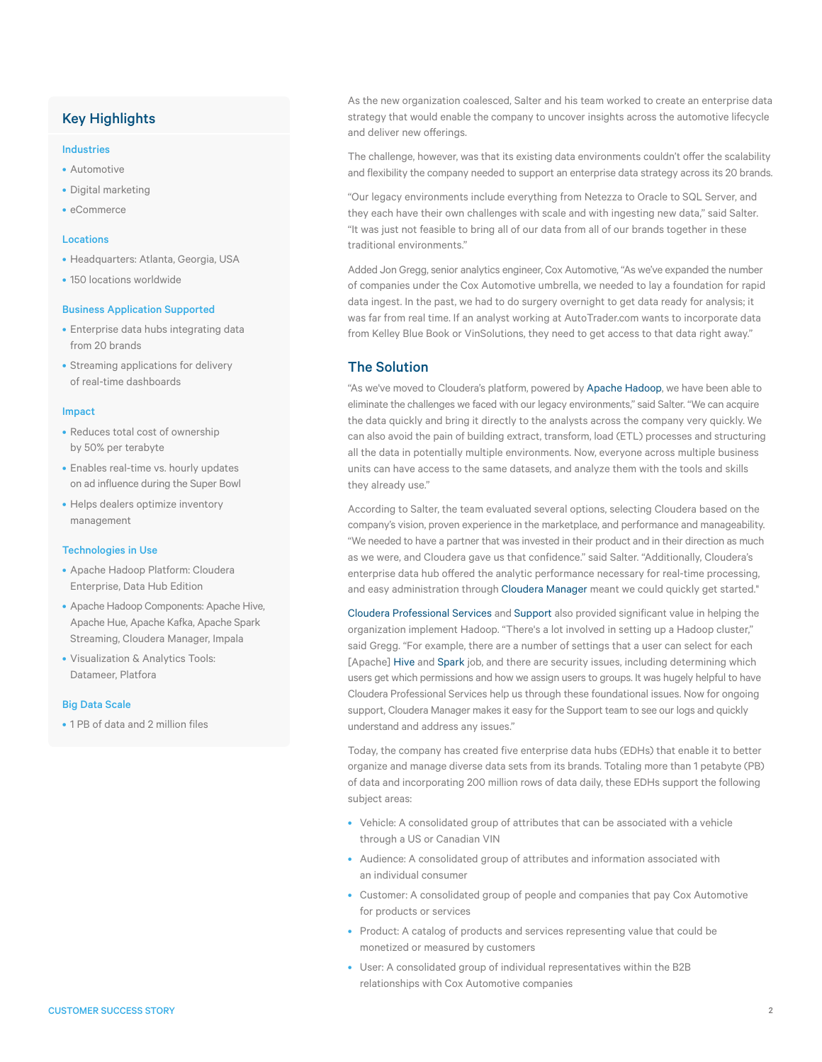## Key Highlights

#### Industries

- Automotive
- Digital marketing
- eCommerce

#### Locations

- Headquarters: Atlanta, Georgia, USA
- 150 locations worldwide

#### Business Application Supported

- Enterprise data hubs integrating data from 20 brands
- Streaming applications for delivery of real-time dashboards

#### Impact

- Reduces total cost of ownership by 50% per terabyte
- Enables real-time vs. hourly updates on ad influence during the Super Bowl
- Helps dealers optimize inventory management

#### Technologies in Use

- Apache Hadoop Platform: Cloudera Enterprise, Data Hub Edition
- Apache Hadoop Components: Apache Hive, Apache Hue, Apache Kafka, Apache Spark Streaming, Cloudera Manager, Impala
- Visualization & Analytics Tools: Datameer, Platfora

#### Big Data Scale

• 1 PB of data and 2 million files

As the new organization coalesced, Salter and his team worked to create an enterprise data strategy that would enable the company to uncover insights across the automotive lifecycle and deliver new offerings.

The challenge, however, was that its existing data environments couldn't offer the scalability and flexibility the company needed to support an enterprise data strategy across its 20 brands.

"Our legacy environments include everything from Netezza to Oracle to SQL Server, and they each have their own challenges with scale and with ingesting new data," said Salter. "It was just not feasible to bring all of our data from all of our brands together in these traditional environments."

Added Jon Gregg, senior analytics engineer, Cox Automotive, "As we've expanded the number of companies under the Cox Automotive umbrella, we needed to lay a foundation for rapid data ingest. In the past, we had to do surgery overnight to get data ready for analysis; it was far from real time. If an analyst working at AutoTrader.com wants to incorporate data from Kelley Blue Book or VinSolutions, they need to get access to that data right away."

## The Solution

"As we've moved to Cloudera's platform, powered by [Apache Hadoop](http://www.cloudera.com/content/cloudera/en/about/hadoop-and-big-data.html), we have been able to eliminate the challenges we faced with our legacy environments," said Salter. "We can acquire the data quickly and bring it directly to the analysts across the company very quickly. We can also avoid the pain of building extract, transform, load (ETL) processes and structuring all the data in potentially multiple environments. Now, everyone across multiple business units can have access to the same datasets, and analyze them with the tools and skills they already use."

According to Salter, the team evaluated several options, selecting Cloudera based on the company's vision, proven experience in the marketplace, and performance and manageability. "We needed to have a partner that was invested in their product and in their direction as much as we were, and Cloudera gave us that confidence." said Salter. "Additionally, Cloudera's enterprise data hub offered the analytic performance necessary for real-time processing, and easy administration through [Cloudera Manager](http://www.cloudera.com/content/cloudera/en/products-and-services/cloudera-enterprise/cloudera-manager.html) meant we could quickly get started."

[Cloudera Professional Services](http://www.cloudera.com/content/cloudera/en/products-and-services/professional-services.html) and [Support](http://www.cloudera.com/content/cloudera/en/products-and-services/cloudera-support.html) also provided significant value in helping the organization implement Hadoop. "There's a lot involved in setting up a Hadoop cluster," said Gregg. "For example, there are a number of settings that a user can select for each [Apache] [Hive](http://www.cloudera.com/content/cloudera/en/documentation/Glossary/Cloudera-Glossary.html) and [Spark](http://www.cloudera.com/content/cloudera/en/products-and-services/cdh/spark.html) job, and there are security issues, including determining which users get which permissions and how we assign users to groups. It was hugely helpful to have Cloudera Professional Services help us through these foundational issues. Now for ongoing support, Cloudera Manager makes it easy for the Support team to see our logs and quickly understand and address any issues."

Today, the company has created five enterprise data hubs (EDHs) that enable it to better organize and manage diverse data sets from its brands. Totaling more than 1 petabyte (PB) of data and incorporating 200 million rows of data daily, these EDHs support the following subject areas:

- Vehicle: A consolidated group of attributes that can be associated with a vehicle through a US or Canadian VIN
- Audience: A consolidated group of attributes and information associated with an individual consumer
- Customer: A consolidated group of people and companies that pay Cox Automotive for products or services
- Product: A catalog of products and services representing value that could be monetized or measured by customers
- User: A consolidated group of individual representatives within the B2B relationships with Cox Automotive companies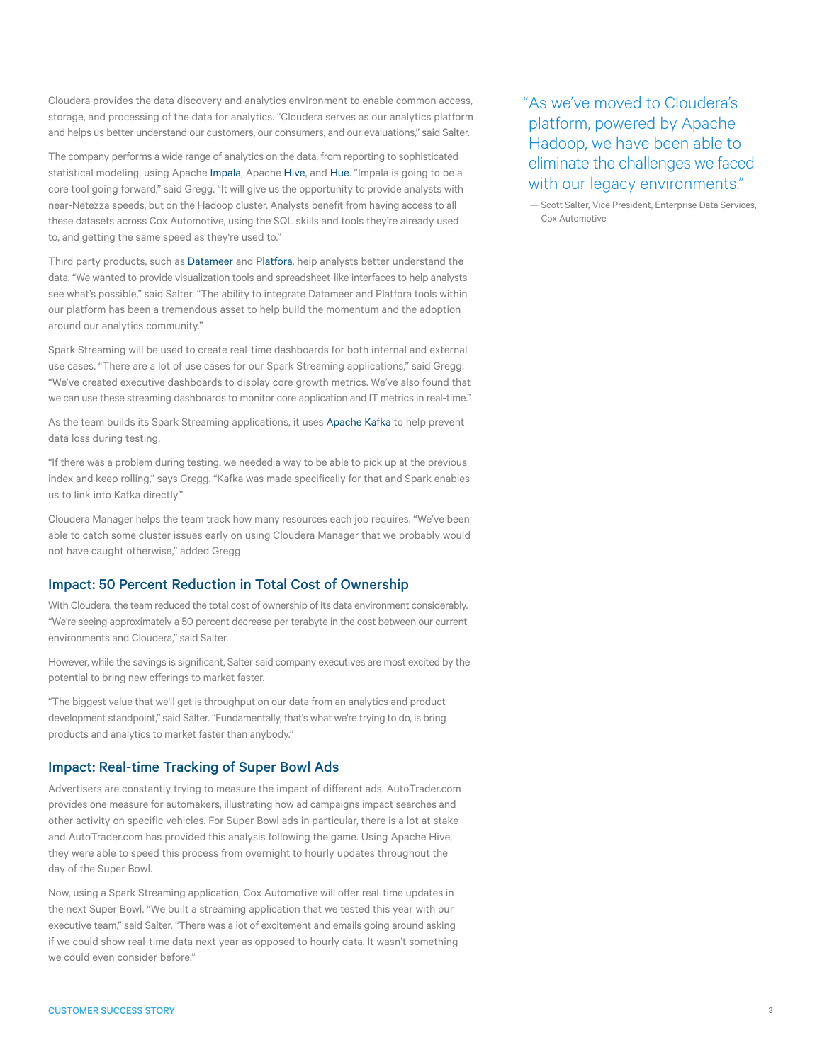Cloudera provides the data discovery and analytics environment to enable common access, storage, and processing of the data for analytics. "Cloudera serves as our analytics platform and helps us better understand our customers, our consumers, and our evaluations," said Salter.

The company performs a wide range of analytics on the data, from reporting to sophisticated statistical modeling, using Apache [Impala,](http://www.cloudera.com/content/cloudera/en/products-and-services/cdh/impala.html) Apache [Hive](http://www.cloudera.com/content/cloudera/en/documentation/Glossary/Cloudera-Glossary.html), and [Hue](http://www.cloudera.com/content/cloudera/en/documentation/Glossary/Cloudera-Glossary.html). "Impala is going to be a core tool going forward," said Gregg. "It will give us the opportunity to provide analysts with near-Netezza speeds, but on the Hadoop cluster. Analysts benefit from having access to all these datasets across Cox Automotive, using the SQL skills and tools they're already used to, and getting the same speed as they're used to."

Third party products, such as [Datameer](http://www.cloudera.com/content/cloudera/en/solutions/partner/cloudera-and-datameer.html) and [Platfora,](http://www.cloudera.com/content/cloudera/en/solutions/partner/cloudera-and-platfora.html) help analysts better understand the data. "We wanted to provide visualization tools and spreadsheet-like interfaces to help analysts see what's possible," said Salter. "The ability to integrate Datameer and Platfora tools within our platform has been a tremendous asset to help build the momentum and the adoption around our analytics community."

Spark Streaming will be used to create real-time dashboards for both internal and external use cases. "There are a lot of use cases for our Spark Streaming applications," said Gregg. "We've created executive dashboards to display core growth metrics. We've also found that we can use these streaming dashboards to monitor core application and IT metrics in real-time."

As the team builds its Spark Streaming applications, it uses [Apache Kafka](http://www.cloudera.com/content/cloudera/en/developers/home/cloudera-labs.html) to help prevent data loss during testing.

"If there was a problem during testing, we needed a way to be able to pick up at the previous index and keep rolling," says Gregg. "Kafka was made specifically for that and Spark enables us to link into Kafka directly."

Cloudera Manager helps the team track how many resources each job requires. "We've been able to catch some cluster issues early on using Cloudera Manager that we probably would not have caught otherwise," added Gregg

## Impact: 50 Percent Reduction in Total Cost of Ownership

With Cloudera, the team reduced the total cost of ownership of its data environment considerably. "We're seeing approximately a 50 percent decrease per terabyte in the cost between our current environments and Cloudera," said Salter.

However, while the savings is significant, Salter said company executives are most excited by the potential to bring new offerings to market faster.

"The biggest value that we'll get is throughput on our data from an analytics and product development standpoint," said Salter. "Fundamentally, that's what we're trying to do, is bring products and analytics to market faster than anybody."

## Impact: Real-time Tracking of Super Bowl Ads

Advertisers are constantly trying to measure the impact of different ads. AutoTrader.com provides one measure for automakers, illustrating how ad campaigns impact searches and other activity on specific vehicles. For Super Bowl ads in particular, there is a lot at stake and AutoTrader.com has provided this analysis following the game. Using Apache Hive, they were able to speed this process from overnight to hourly updates throughout the day of the Super Bowl.

Now, using a Spark Streaming application, Cox Automotive will offer real-time updates in the next Super Bowl. "We built a streaming application that we tested this year with our executive team," said Salter. "There was a lot of excitement and emails going around asking if we could show real-time data next year as opposed to hourly data. It wasn't something we could even consider before."

"As we've moved to Cloudera's platform, powered by Apache Hadoop, we have been able to eliminate the challenges we faced with our legacy environments."

— Scott Salter, Vice President, Enterprise Data Services, Cox Automotive